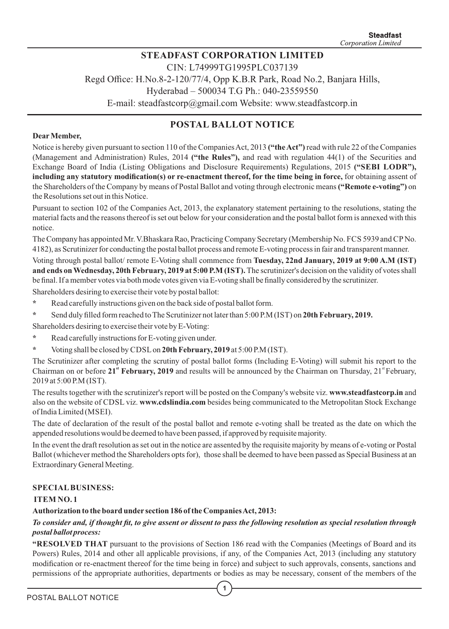# **STEADFAST CORPORATION LIMITED**

CIN: L74999TG1995PLC037139

Regd Office: H.No.8-2-120/77/4, Opp K.B.R Park, Road No.2, Banjara Hills,

Hyderabad – 500034 T.G Ph.: 040-23559550

E-mail: steadfastcorp@gmail.com Website: www.steadfastcorp.in

## **POSTAL BALLOT NOTICE**

#### **DearMember,**

Notice is hereby given pursuant to section 110 of the Companies Act, 2013 **("the Act")** read with rule 22 of the Companies (Management and Administration) Rules, 2014 **("the Rules"),** and read with regulation 44(1) of the Securities and Exchange Board of India (Listing Obligations and Disclosure Requirements) Regulations, 2015 **("SEBI LODR"), including any statutory modification(s) or re-enactment thereof, for the time being in force,** for obtaining assent of the Shareholders of the Company by means of Postal Ballot and voting through electronic means**("Remote e-voting")** on the Resolutions set out in this Notice.

Pursuant to section 102 of the Companies Act, 2013, the explanatory statement pertaining to the resolutions, stating the material facts and the reasons thereof is set out below for your consideration and the postal ballot form is annexed with this notice.

The Company has appointed Mr. V.Bhaskara Rao, Practicing Company Secretary (Membership No. FCS 5939 and CPNo. 4182), as Scrutinizer for conducting the postal ballot process and remote E-voting process in fair and transparent manner.

Voting through postal ballot/ remote E-Voting shall commence from **Tuesday, 22nd January, 2019 at 9:00 A.M (IST) and ends on Wednesday, 20th February, 2019 at 5:00 P.M (IST).** The scrutinizer's decision on the validity of votes shall be final. If a member votes via both mode votes given via E-voting shall be finally considered by the scrutinizer.

Shareholders desiring to exercise their vote by postal ballot:

- **\*** Read carefully instructions given on the back side of postal ballot form.
- **\*** Send duly filled form reached to The Scrutinizer not later than 5:00 P.M (IST) on **20th February, 2019.**

Shareholders desiring to exercise their vote by E-Voting:

- **\*** Read carefully instructions for E-voting given under.
- **\*** Voting shall be closed by CDSLon **20th February, 2019** at 5:00 P.M (IST).

The Scrutinizer after completing the scrutiny of postal ballot forms (Including E-Voting) will submit his report to the Chairman on or before 21<sup><sup>st</sup> February, 2019 and results will be announced by the Chairman on Thursday, 21<sup>st</sup> February,</sup> 2019 at 5:00 P.M (IST).

The results together with the scrutinizer's report will be posted on the Company's website viz. **www.steadfastcorp.in** and also on the website of CDSL viz. **www.cdslindia.com** besides being communicated to the Metropolitan Stock Exchange of India Limited (MSEI).

The date of declaration of the result of the postal ballot and remote e-voting shall be treated as the date on which the appended resolutions would be deemed to have been passed, if approved by requisite majority.

In the event the draft resolution as set out in the notice are assented by the requisite majority by means of e-voting or Postal Ballot (whichever method the Shareholders opts for), those shall be deemed to have been passed as Special Business at an Extraordinary General Meeting.

#### **SPECIALBUSINESS:**

#### **ITEM NO. 1**

#### **Authorization to the board under section 186 of the Companies Act, 2013:**

*To consider and, if thought fit, to give assent or dissent to pass the following resolution as special resolution through postal ballot process:*

**"RESOLVED THAT** pursuant to the provisions of Section 186 read with the Companies (Meetings of Board and its Powers) Rules, 2014 and other all applicable provisions, if any, of the Companies Act, 2013 (including any statutory modification or re-enactment thereof for the time being in force) and subject to such approvals, consents, sanctions and permissions of the appropriate authorities, departments or bodies as may be necessary, consent of the members of the

**1**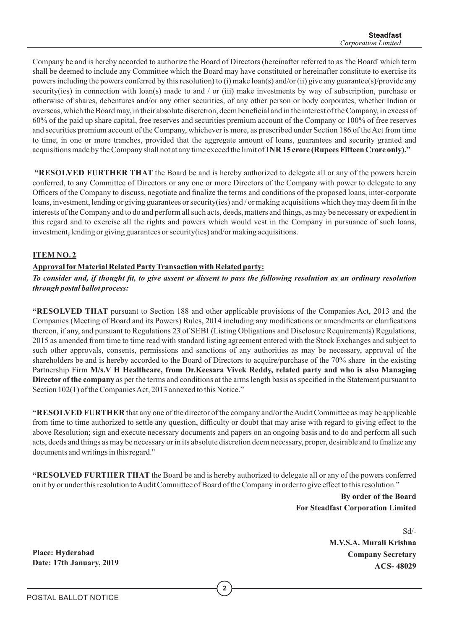Company be and is hereby accorded to authorize the Board of Directors (hereinafter referred to as 'the Board' which term shall be deemed to include any Committee which the Board may have constituted or hereinafter constitute to exercise its powers including the powers conferred by this resolution) to (i) make loan(s) and/or (ii) give any guarantee(s)/provide any security(ies) in connection with loan(s) made to and / or (iii) make investments by way of subscription, purchase or otherwise of shares, debentures and/or any other securities, of any other person or body corporates, whether Indian or overseas, which the Board may, in their absolute discretion, deem beneficial and in the interest of the Company, in excess of 60% of the paid up share capital, free reserves and securities premium account of the Company or 100% of free reserves and securities premium account of the Company, whichever is more, as prescribed under Section 186 of the Act from time to time, in one or more tranches, provided that the aggregate amount of loans, guarantees and security granted and acquisitions made by the Company shall not at any time exceed the limit of **INR 15 crore (Rupees Fifteen Crore only)."**

**"RESOLVED FURTHER THAT** the Board be and is hereby authorized to delegate all or any of the powers herein conferred, to any Committee of Directors or any one or more Directors of the Company with power to delegate to any Officers of the Company to discuss, negotiate and finalize the terms and conditions of the proposed loans, inter-corporate loans, investment, lending or giving guarantees or security(ies) and/or making acquisitions which they may deem fit in the interests of the Company and to do and perform all such acts, deeds, matters and things, as may be necessary or expedient in this regard and to exercise all the rights and powers which would vest in the Company in pursuance of such loans, investment, lending or giving guarantees or security(ies) and/or making acquisitions.

#### **ITEM NO. 2**

#### **Approval forMaterial Related Party Transaction with Related party:**

*To consider and, if thought fit, to give assent or dissent to pass the following resolution as an ordinary resolution through postal ballot process:*

**"RESOLVED THAT** pursuant to Section 188 and other applicable provisions of the Companies Act, 2013 and the Companies (Meeting of Board and its Powers) Rules, 2014 including any modifications or amendments or clarifications thereon, if any, and pursuant to Regulations 23 of SEBI (Listing Obligations and Disclosure Requirements) Regulations, 2015 as amended from time to time read with standard listing agreement entered with the Stock Exchanges and subject to such other approvals, consents, permissions and sanctions of any authorities as may be necessary, approval of the shareholders be and is hereby accorded to the Board of Directors to acquire/purchase of the 70% share in the existing Partnership Firm **M/s.V H Healthcare, from Dr.Keesara Vivek Reddy, related party and who is also Managing Director of the company** as per the terms and conditions at the arms length basis as specified in the Statement pursuant to Section 102(1) of the Companies Act, 2013 annexed to this Notice."

**"RESOLVED FURTHER** that any one of the director of the company and/or the Audit Committee as may be applicable from time to time authorized to settle any question, difficulty or doubt that may arise with regard to giving effect to the above Resolution; sign and execute necessary documents and papers on an ongoing basis and to do and perform all such acts, deeds and things as may be necessary or in its absolute discretion deem necessary, proper, desirable and to finalize any documents and writings in this regard."

**"RESOLVED FURTHER THAT** the Board be and is hereby authorized to delegate all or any of the powers conferred on it by or under this resolution to Audit Committee of Board of the Company in order to give effect to this resolution."

> **By order of the Board For Steadfast Corporation Limited**

 Sd/- **M.V.S.A. Murali Krishna Company Secretary ACS- 48029**

**Place: Hyderabad Date: 17th January, 2019**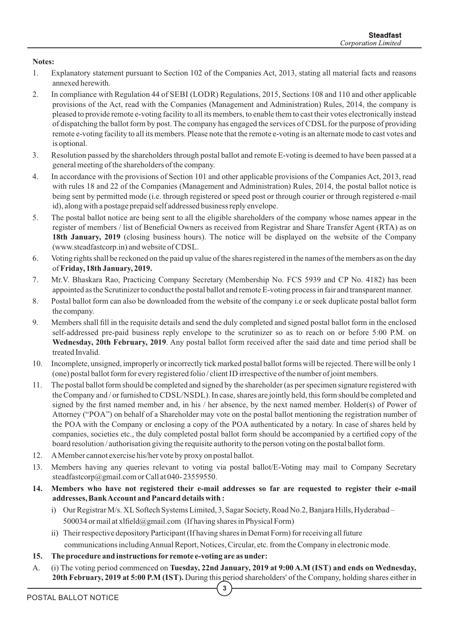#### **Notes:**

- 1. Explanatory statement pursuant to Section 102 of the Companies Act, 2013, stating all material facts and reasons annexed herewith.
- 2. In compliance with Regulation 44 of SEBI (LODR) Regulations, 2015, Sections 108 and 110 and other applicable provisions of the Act, read with the Companies (Management and Administration) Rules, 2014, the company is pleased to provide remote e-voting facility to all its members, to enable them to cast their votes electronically instead of dispatching the ballot form by post. The company has engaged the services of CDSL for the purpose of providing remote e-voting facility to all its members. Please note that the remote e-voting is an alternate mode to cast votes and is optional.
- 3. Resolution passed by the shareholders through postal ballot and remote E-voting is deemed to have been passed at a general meeting of the shareholders of the company.
- 4. In accordance with the provisions of Section 101 and other applicable provisions of the Companies Act, 2013, read with rules 18 and 22 of the Companies (Management and Administration) Rules, 2014, the postal ballot notice is being sent by permitted mode (i.e. through registered or speed post or through courier or through registered e-mail id), along with a postage prepaid self addressed business reply envelope.
- 5. The postal ballot notice are being sent to all the eligible shareholders of the company whose names appear in the register of members / list of Beneficial Owners as received from Registrar and Share Transfer Agent (RTA) as on 18th January, 2019 (closing business hours). The notice will be displayed on the website of the Company (www.steadfastcorp.in) and website of CDSL.
- 6. Voting rights shall be reckoned on the paid up value of the shares registered in the names of the members as on the day of **Friday, 18th January, 2019.**
- 7. Mr.V. Bhaskara Rao, Practicing Company Secretary (Membership No. FCS 5939 and CP No. 4182) has been appointed as the Scrutinizer to conduct the postal ballot and remote E-voting process in fair and transparent manner.
- 8. Postal ballot form can also be downloaded from the website of the company i.e or seek duplicate postal ballot form the company.
- 9. Members shall fill in the requisite details and send the duly completed and signed postal ballot form in the enclosed self-addressed pre-paid business reply envelope to the scrutinizer so as to reach on or before 5:00 P.M. on **Wednesday, 20th February, 2019**. Any postal ballot form received after the said date and time period shall be treated Invalid.
- 10. Incomplete, unsigned, improperly or incorrectly tick marked postal ballot forms will be rejected. There will be only 1 (one) postal ballot form for every registered folio / client ID irrespective of the number of joint members.
- 11. The postal ballot form should be completed and signed by the shareholder (as per specimen signature registered with the Company and / or furnished to CDSL/NSDL). In case, shares are jointly held, this form should be completed and signed by the first named member and, in his / her absence, by the next named member. Holder(s) of Power of Attorney ("POA") on behalf of a Shareholder may vote on the postal ballot mentioning the registration number of the POA with the Company or enclosing a copy of the POA authenticated by a notary. In case of shares held by companies, societies etc., the duly completed postal ballot form should be accompanied by a certified copy of the board resolution / authorisation giving the requisite authority to the person voting on the postal ballot form.
- 12. AMember cannot exercise his/her vote by proxy on postal ballot.
- 13. Members having any queries relevant to voting via postal ballot/E-Voting may mail to Company Secretary steadfastcorp@gmail.com or Call at 040-23559550.
- **14. Members who have not registered their e-mail addresses so far are requested to register their e-mail addresses, Bank Account and Pancard details with :**
	- i) Our Registrar M/s. XLSoftech Systems Limited, 3, Sagar Society, Road No.2, Banjara Hills, Hyderabad 500034 or mail at xlfield@gmail.com (If having shares in Physical Form)
	- ii) Their respective depository Participant (If having shares in Demat Form) for receiving all future communications including Annual Report, Notices, Circular, etc. from the Company in electronic mode.
- **15. The procedure and instructions for remote e-voting are as under:**
- A. (i) The voting period commenced on **Tuesday, 22nd January, 2019 at 9:00 A.M (IST) and ends on Wednesday, 20th February, 2019 at 5:00 P.M (IST).** During this period shareholders' of the Company, holding shares either in

**3**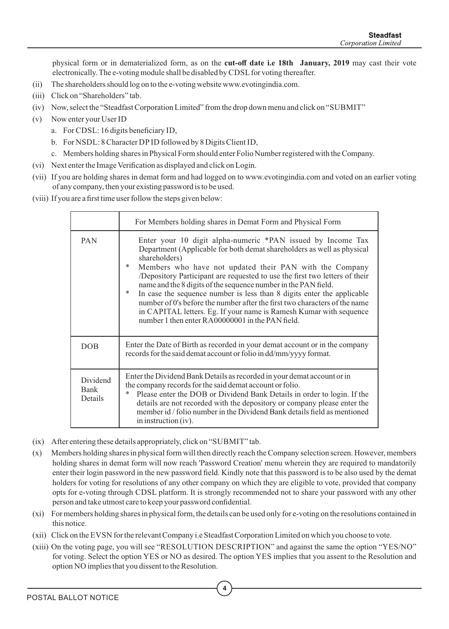physical form or in dematerialized form, as on the **cut-off date i.e 18th January, 2019** may cast their vote electronically. The e-voting module shall be disabled by CDSL for voting thereafter.

- (ii) The shareholders should log on to the e-voting website www.evotingindia.com.
- (iii) Click on "Shareholders" tab.
- (iv) Now, select the "Steadfast Corporation Limited" from the drop down menu and click on "SUBMIT"
- (v) Now enter your User ID
	- a. For CDSL: 16 digits beneficiary ID,
	- b. For NSDL: 8 Character DP ID followed by 8 Digits Client ID,
	- c. Members holding shares in Physical Form should enter Folio Number registered with the Company.
- (vi) Next enter the Image Verification as displayed and click on Login.
- (vii) If you are holding shares in demat form and had logged on to www.evotingindia.com and voted on an earlier voting of any company, then your existing password is to be used.
- (viii) If you are a first time user follow the steps given below:

|                                    | For Members holding shares in Demat Form and Physical Form                                                                                                                                                                                                                                                                                                                                                                                                                                                                                                                                                                                                               |
|------------------------------------|--------------------------------------------------------------------------------------------------------------------------------------------------------------------------------------------------------------------------------------------------------------------------------------------------------------------------------------------------------------------------------------------------------------------------------------------------------------------------------------------------------------------------------------------------------------------------------------------------------------------------------------------------------------------------|
| PAN                                | Enter your 10 digit alpha-numeric *PAN issued by Income Tax<br>Department (Applicable for both demat shareholders as well as physical<br>shareholders)<br>$\ast$<br>Members who have not updated their PAN with the Company<br>/Depository Participant are requested to use the first two letters of their<br>name and the 8 digits of the sequence number in the PAN field.<br>In case the sequence number is less than 8 digits enter the applicable<br>$\ast$<br>number of 0's before the number after the first two characters of the name<br>in CAPITAL letters. Eg. If your name is Ramesh Kumar with sequence<br>number 1 then enter RA00000001 in the PAN field. |
| <b>DOB</b>                         | Enter the Date of Birth as recorded in your demat account or in the company<br>records for the said demat account or folio in dd/mm/yyyy format.                                                                                                                                                                                                                                                                                                                                                                                                                                                                                                                         |
| Dividend<br><b>Bank</b><br>Details | Enter the Dividend Bank Details as recorded in your demat account or in<br>the company records for the said demat account or folio.<br>Please enter the DOB or Dividend Bank Details in order to login. If the<br>*<br>details are not recorded with the depository or company please enter the<br>member id / folio number in the Dividend Bank details field as mentioned<br>in instruction $(iv)$ .                                                                                                                                                                                                                                                                   |

- (ix) After entering these details appropriately, click on "SUBMIT" tab.
- (x) Members holding shares in physical form will then directly reach the Company selection screen. However, members holding shares in demat form will now reach 'Password Creation' menu wherein they are required to mandatorily enter their login password in the new password field. Kindly note that this password is to be also used by the demat holders for voting for resolutions of any other company on which they are eligible to vote, provided that company opts for e-voting through CDSL platform. It is strongly recommended not to share your password with any other person and take utmost care to keep your password confidential.
- (xi) For members holding shares in physical form, the details can be used only for e-voting on the resolutions contained in this notice.
- (xii) Click on the EVSN for the relevant Company i.e Steadfast Corporation Limited on which you choose to vote.
- (xiii) On the voting page, you will see "RESOLUTION DESCRIPTION" and against the same the option "YES/NO" for voting. Select the option YES or NO as desired. The option YES implies that you assent to the Resolution and option NO implies that you dissent to the Resolution.

**4**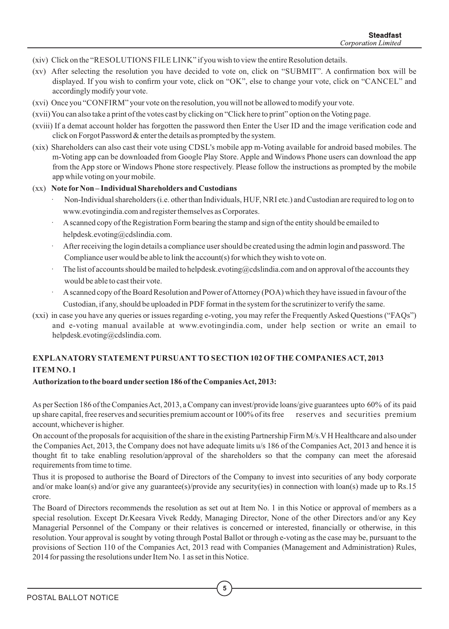- (xiv) Click on the "RESOLUTIONS FILE LINK" if you wish to view the entire Resolution details.
- (xv) After selecting the resolution you have decided to vote on, click on "SUBMIT". A confirmation box will be displayed. If you wish to confirm your vote, click on "OK", else to change your vote, click on "CANCEL" and accordingly modify your vote.
- (xvi) Once you "CONFIRM" your vote on the resolution, you will not be allowed to modify your vote.
- (xvii) You can also take a print of the votes cast by clicking on "Click here to print" option on the Voting page.
- (xviii) If a demat account holder has forgotten the password then Enter the User ID and the image verification code and click on Forgot Password & enter the details as prompted by the system.
- (xix) Shareholders can also cast their vote using CDSL's mobile app m-Voting available for android based mobiles. The m-Voting app can be downloaded from Google Play Store. Apple and Windows Phone users can download the app from the App store or Windows Phone store respectively. Please follow the instructions as prompted by the mobile app while voting on your mobile.

#### (xx) **Note forNon – Individual Shareholders and Custodians**

- · Non-Individual shareholders (i.e. other than Individuals, HUF, NRI etc.) and Custodian are required to log on to www.evotingindia.com and register themselves as Corporates.
- · Ascanned copy of the Registration Form bearing the stamp and sign of the entity should be emailed to helpdesk.evoting@cdslindia.com.
- After receiving the login details a compliance user should be created using the admin login and password. The Compliance user would be able to link the account(s) for which they wish to vote on.
- The list of accounts should be mailed to helpdesk.evoting@cdslindia.com and on approval of the accounts they would be able to cast their vote.
- A scanned copy of the Board Resolution and Power of Attorney (POA) which they have issued in favour of the Custodian, if any, should be uploaded in PDF format in the system for the scrutinizer to verify the same.
- (xxi) in case you have any queries or issues regarding e-voting, you may refer the Frequently Asked Questions ("FAQs") and e-voting manual available at www.evotingindia.com, under help section or write an email to helpdesk.evoting@cdslindia.com.

#### **EXPLANATORY STATEMENT PURSUANT TO SECTION 102 OFTHE COMPANIESACT, 2013 ITEM NO. 1**

#### **Authorization to the board under section 186 of the Companies Act, 2013:**

As per Section 186 of the Companies Act, 2013, a Company can invest/provide loans/give guarantees upto 60% of its paid up share capital, free reserves and securities premium account or 100% of its free reserves and securities premium account, whichever is higher.

On account of the proposals for acquisition of the share in the existing Partnership Firm M/s.VH Healthcare and also under the Companies Act, 2013, the Company does not have adequate limits u/s 186 of the Companies Act, 2013 and hence it is thought fit to take enabling resolution/approval of the shareholders so that the company can meet the aforesaid requirements from time to time.

Thus it is proposed to authorise the Board of Directors of the Company to invest into securities of any body corporate and/or make loan(s) and/or give any guarantee(s)/provide any security(ies) in connection with loan(s) made up to Rs.15 crore.

The Board of Directors recommends the resolution as set out at Item No. 1 in this Notice or approval of members as a special resolution. Except Dr.Keesara Vivek Reddy, Managing Director, None of the other Directors and/or any Key Managerial Personnel of the Company or their relatives is concerned or interested, financially or otherwise, in this resolution. Your approval is sought by voting through Postal Ballot or through e-voting as the case may be, pursuant to the provisions of Section 110 of the Companies Act, 2013 read with Companies (Management and Administration) Rules, 2014 for passing the resolutions under Item No. 1 as set in this Notice.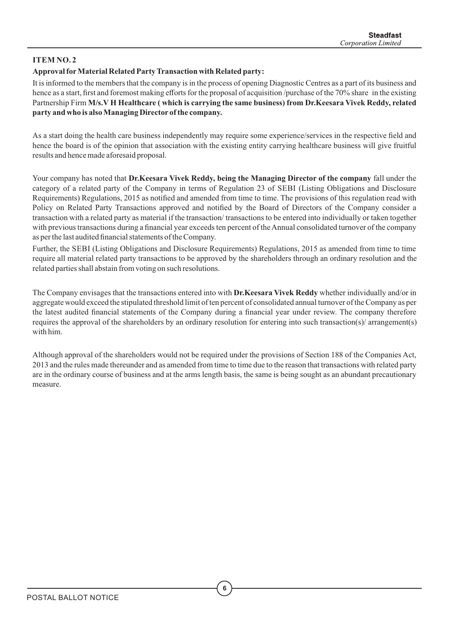### **ITEM NO. 2**

#### **Approval forMaterial Related Party Transaction with Related party:**

It is informed to the members that the company is in the process of opening Diagnostic Centres as a part of its business and hence as a start, first and foremost making efforts for the proposal of acquisition /purchase of the 70% share in the existing Partnership Firm **M/s.V H Healthcare ( which is carrying the same business) from Dr.Keesara Vivek Reddy, related party and who is also Managing Director of the company.**

As a start doing the health care business independently may require some experience/services in the respective field and hence the board is of the opinion that association with the existing entity carrying healthcare business will give fruitful results and hence made aforesaid proposal.

Your company has noted that **Dr.Keesara Vivek Reddy, being the Managing Director of the company** fall under the category of a related party of the Company in terms of Regulation 23 of SEBI (Listing Obligations and Disclosure Requirements) Regulations, 2015 as notified and amended from time to time. The provisions of this regulation read with Policy on Related Party Transactions approved and notified by the Board of Directors of the Company consider a transaction with a related party as material if the transaction/ transactions to be entered into individually or taken together with previous transactions during a financial year exceeds ten percent of the Annual consolidated turnover of the company as per the last audited financial statements of the Company.

Further, the SEBI (Listing Obligations and Disclosure Requirements) Regulations, 2015 as amended from time to time require all material related party transactions to be approved by the shareholders through an ordinary resolution and the related parties shall abstain from voting on such resolutions.

The Company envisages that the transactions entered into with **Dr.Keesara Vivek Reddy** whether individually and/or in aggregate would exceed the stipulated threshold limit of ten percent of consolidated annual turnover of the Company as per the latest audited financial statements of the Company during a financial year under review. The company therefore requires the approval of the shareholders by an ordinary resolution for entering into such transaction(s)/ arrangement(s) with him.

Although approval of the shareholders would not be required under the provisions of Section 188 of the Companies Act, 2013 and the rules made thereunder and as amended from time to time due to the reason that transactions with related party are in the ordinary course of business and at the arms length basis, the same is being sought as an abundant precautionary measure.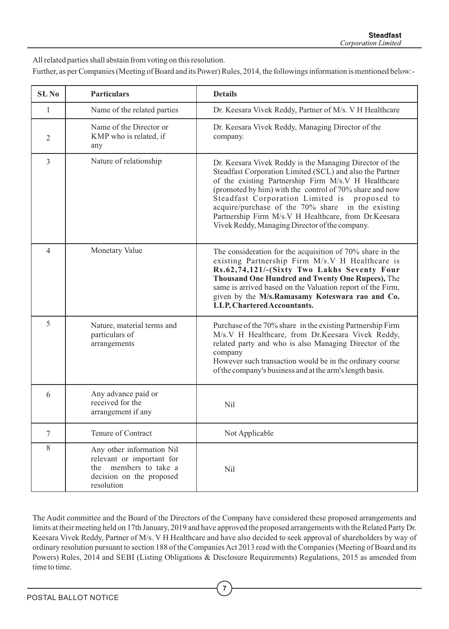All related parties shall abstain from voting on this resolution.

Further, as per Companies (Meeting of Board and its Power) Rules, 2014, the followings information is mentioned below:-

| <b>SLNo</b>    | <b>Particulars</b>                                                                                                           | <b>Details</b>                                                                                                                                                                                                                                                                                                                                                                                                                                       |
|----------------|------------------------------------------------------------------------------------------------------------------------------|------------------------------------------------------------------------------------------------------------------------------------------------------------------------------------------------------------------------------------------------------------------------------------------------------------------------------------------------------------------------------------------------------------------------------------------------------|
| $\mathbf{1}$   | Name of the related parties                                                                                                  | Dr. Keesara Vivek Reddy, Partner of M/s. V H Healthcare                                                                                                                                                                                                                                                                                                                                                                                              |
| $\overline{2}$ | Name of the Director or<br>KMP who is related, if<br>any                                                                     | Dr. Keesara Vivek Reddy, Managing Director of the<br>company.                                                                                                                                                                                                                                                                                                                                                                                        |
| $\overline{3}$ | Nature of relationship                                                                                                       | Dr. Keesara Vivek Reddy is the Managing Director of the<br>Steadfast Corporation Limited (SCL) and also the Partner<br>of the existing Partnership Firm M/s.V H Healthcare<br>(promoted by him) with the control of 70% share and now<br>Steadfast Corporation Limited is proposed to<br>acquire/purchase of the 70% share in the existing<br>Partnership Firm M/s.V H Healthcare, from Dr.Keesara<br>Vivek Reddy, Managing Director of the company. |
| $\overline{4}$ | Monetary Value                                                                                                               | The consideration for the acquisition of $70\%$ share in the<br>existing Partnership Firm M/s.V H Healthcare is<br>Rs.62,74,121/-(Sixty Two Lakhs Seventy Four<br>Thousand One Hundred and Twenty One Rupees), The<br>same is arrived based on the Valuation report of the Firm,<br>given by the M/s.Ramasamy Koteswara rao and Co.<br>LLP, Chartered Accountants.                                                                                   |
| 5              | Nature, material terms and<br>particulars of<br>arrangements                                                                 | Purchase of the 70% share in the existing Partnership Firm<br>M/s.V H Healthcare, from Dr.Keesara Vivek Reddy,<br>related party and who is also Managing Director of the<br>company<br>However such transaction would be in the ordinary course<br>of the company's business and at the arm's length basis.                                                                                                                                          |
| 6              | Any advance paid or<br>received for the<br>arrangement if any                                                                | Nil                                                                                                                                                                                                                                                                                                                                                                                                                                                  |
| $\tau$         | Tenure of Contract                                                                                                           | Not Applicable                                                                                                                                                                                                                                                                                                                                                                                                                                       |
| 8              | Any other information Nil<br>relevant or important for<br>members to take a<br>the<br>decision on the proposed<br>resolution | Nil                                                                                                                                                                                                                                                                                                                                                                                                                                                  |

The Audit committee and the Board of the Directors of the Company have considered these proposed arrangements and limits at their meeting held on 17th January, 2019 and have approved the proposed arrangements with the Related Party Dr. Keesara Vivek Reddy, Partner of M/s. V H Healthcare and have also decided to seek approval of shareholders by way of ordinary resolution pursuant to section 188 of the Companies Act 2013 read with the Companies (Meeting of Board and its Powers) Rules, 2014 and SEBI (Listing Obligations & Disclosure Requirements) Regulations, 2015 as amended from time to time.

**7**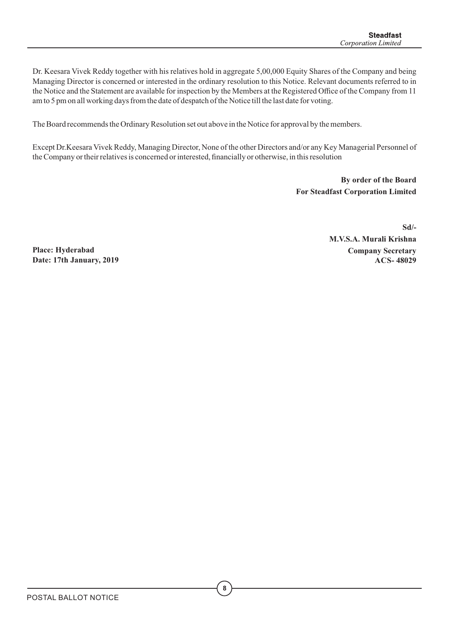Dr. Keesara Vivek Reddy together with his relatives hold in aggregate 5,00,000 Equity Shares of the Company and being Managing Director is concerned or interested in the ordinary resolution to this Notice. Relevant documents referred to in the Notice and the Statement are available for inspection by the Members at the Registered Office of the Company from 11 am to 5 pm on all working days from the date of despatch of the Notice till the last date for voting.

The Board recommends the Ordinary Resolution set out above in the Notice for approval by the members.

Except Dr.Keesara Vivek Reddy, Managing Director, None of the other Directors and/or any Key Managerial Personnel of the Company or their relatives is concerned or interested, financially or otherwise, in this resolution

> **By order of the Board For Steadfast Corporation Limited**

 **Sd/- M.V.S.A. Murali Krishna Company Secretary ACS- 48029** 

**Place: Hyderabad Date: 17th January, 2019**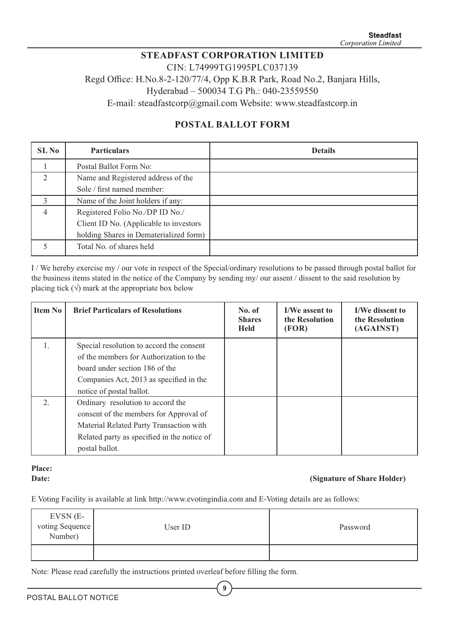## **STEADFAST CORPORATION LIMITED** CIN: L74999TG1995PLC037139

Regd Office: H.No.8-2-120/77/4, Opp K.B.R Park, Road No.2, Banjara Hills,

Hyderabad – 500034 T.G Ph.: 040-23559550

E-mail: steadfastcorp@gmail.com Website: www.steadfastcorp.in

# **POSTAL BALLOT FORM**

| SL No                       | <b>Particulars</b>                     | <b>Details</b> |
|-----------------------------|----------------------------------------|----------------|
|                             | Postal Ballot Form No:                 |                |
| $\mathcal{D}_{\mathcal{L}}$ | Name and Registered address of the     |                |
|                             | Sole / first named member:             |                |
| $\mathcal{E}$               | Name of the Joint holders if any:      |                |
| $\overline{4}$              | Registered Folio No./DP ID No./        |                |
|                             | Client ID No. (Applicable to investors |                |
|                             | holding Shares in Dematerialized form) |                |
|                             | Total No. of shares held               |                |

I / We hereby exercise my / our vote in respect of the Special/ordinary resolutions to be passed through postal ballot for the business items stated in the notice of the Company by sending my/ our assent / dissent to the said resolution by placing tick  $(\sqrt{})$  mark at the appropriate box below

| <b>Item No</b> | <b>Brief Particulars of Resolutions</b>                                                                                                                                                      | No. of<br><b>Shares</b><br><b>Held</b> | <b>I/We assent to</b><br>the Resolution<br>(FOR) | I/We dissent to<br>the Resolution<br>(AGAINST) |
|----------------|----------------------------------------------------------------------------------------------------------------------------------------------------------------------------------------------|----------------------------------------|--------------------------------------------------|------------------------------------------------|
| 1.             | Special resolution to accord the consent<br>of the members for Authorization to the<br>board under section 186 of the<br>Companies Act, 2013 as specified in the<br>notice of postal ballot. |                                        |                                                  |                                                |
| 2.             | Ordinary resolution to accord the<br>consent of the members for Approval of<br>Material Related Party Transaction with<br>Related party as specified in the notice of<br>postal ballot.      |                                        |                                                  |                                                |

# **Place:**

#### **Date:** (Signature of Share Holder)

E Voting Facility is available at link http://www.evotingindia.com and E-Voting details are as follows:

| EVSN (E-<br>voting Sequence<br>Number) | User ID | Password |
|----------------------------------------|---------|----------|
|                                        |         |          |

**9**

Note: Please read carefully the instructions printed overleaf before filling the form.